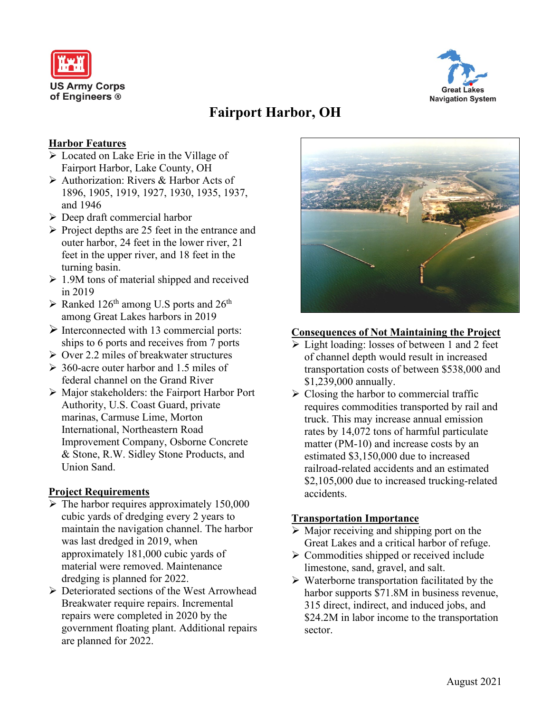



# **Fairport Harbor, OH**

#### **Harbor Features**

- Located on Lake Erie in the Village of Fairport Harbor, Lake County, OH
- Authorization: Rivers & Harbor Acts of 1896, 1905, 1919, 1927, 1930, 1935, 1937, and 1946
- $\triangleright$  Deep draft commercial harbor
- $\triangleright$  Project depths are 25 feet in the entrance and outer harbor, 24 feet in the lower river, 21 feet in the upper river, and 18 feet in the turning basin.
- $\geq 1.9M$  tons of material shipped and received in 2019
- $\triangleright$  Ranked 126<sup>th</sup> among U.S ports and 26<sup>th</sup> among Great Lakes harbors in 2019
- $\triangleright$  Interconnected with 13 commercial ports: ships to 6 ports and receives from 7 ports
- $\triangleright$  Over 2.2 miles of breakwater structures
- $\geq 360$ -acre outer harbor and 1.5 miles of federal channel on the Grand River
- Major stakeholders: the Fairport Harbor Port Authority, U.S. Coast Guard, private marinas, Carmuse Lime, Morton International, Northeastern Road Improvement Company, Osborne Concrete & Stone, R.W. Sidley Stone Products, and Union Sand.

#### **Project Requirements**

- $\triangleright$  The harbor requires approximately 150,000 cubic yards of dredging every 2 years to maintain the navigation channel. The harbor was last dredged in 2019, when approximately 181,000 cubic yards of material were removed. Maintenance dredging is planned for 2022.
- ▶ Deteriorated sections of the West Arrowhead Breakwater require repairs. Incremental repairs were completed in 2020 by the government floating plant. Additional repairs are planned for 2022.



#### **Consequences of Not Maintaining the Project**

- Light loading: losses of between 1 and 2 feet of channel depth would result in increased transportation costs of between \$538,000 and \$1,239,000 annually.
- $\triangleright$  Closing the harbor to commercial traffic requires commodities transported by rail and truck. This may increase annual emission rates by 14,072 tons of harmful particulate matter (PM-10) and increase costs by an estimated \$3,150,000 due to increased railroad-related accidents and an estimated \$2,105,000 due to increased trucking-related accidents.

#### **Transportation Importance**

- $\triangleright$  Major receiving and shipping port on the Great Lakes and a critical harbor of refuge.
- $\triangleright$  Commodities shipped or received include limestone, sand, gravel, and salt.
- $\triangleright$  Waterborne transportation facilitated by the harbor supports  $$71.8M$  in business revenue, 315 direct, indirect, and induced jobs, and \$24.2M in labor income to the transportation sector.